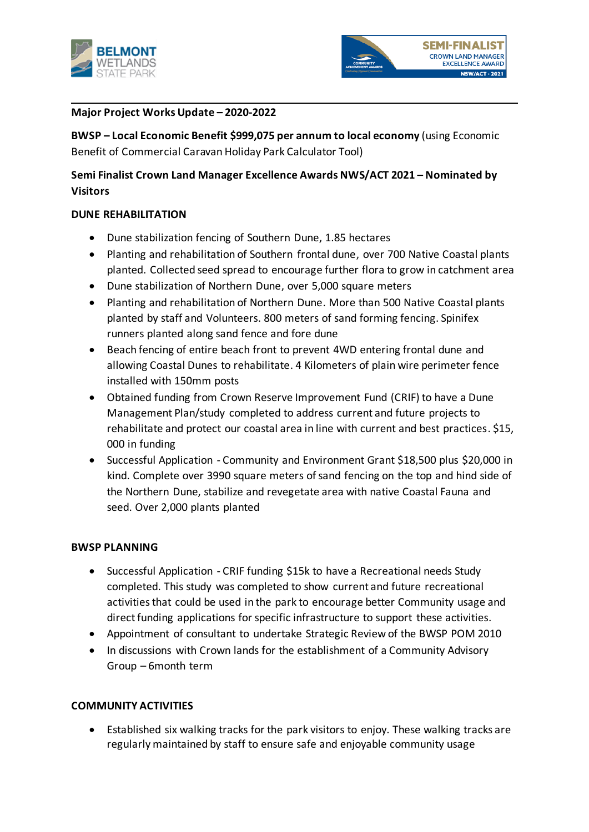



## **Major Project Works Update – 2020-2022**

**BWSP – Local Economic Benefit \$999,075 per annum to local economy** (using Economic Benefit of Commercial Caravan Holiday Park Calculator Tool)

# **Semi Finalist Crown Land Manager Excellence Awards NWS/ACT 2021 – Nominated by Visitors**

## **DUNE REHABILITATION**

- Dune stabilization fencing of Southern Dune, 1.85 hectares
- Planting and rehabilitation of Southern frontal dune, over 700 Native Coastal plants planted. Collected seed spread to encourage further flora to grow in catchment area
- Dune stabilization of Northern Dune, over 5,000 square meters
- Planting and rehabilitation of Northern Dune. More than 500 Native Coastal plants planted by staff and Volunteers. 800 meters of sand forming fencing. Spinifex runners planted along sand fence and fore dune
- Beach fencing of entire beach front to prevent 4WD entering frontal dune and allowing Coastal Dunes to rehabilitate. 4 Kilometers of plain wire perimeter fence installed with 150mm posts
- Obtained funding from Crown Reserve Improvement Fund (CRIF) to have a Dune Management Plan/study completed to address current and future projects to rehabilitate and protect our coastal area in line with current and best practices. \$15, 000 in funding
- Successful Application Community and Environment Grant \$18,500 plus \$20,000 in kind. Complete over 3990 square meters of sand fencing on the top and hind side of the Northern Dune, stabilize and revegetate area with native Coastal Fauna and seed. Over 2,000 plants planted

## **BWSP PLANNING**

- Successful Application CRIF funding \$15k to have a Recreational needs Study completed. This study was completed to show current and future recreational activities that could be used in the park to encourage better Community usage and direct funding applications for specific infrastructure to support these activities.
- Appointment of consultant to undertake Strategic Review of the BWSP POM 2010
- In discussions with Crown lands for the establishment of a Community Advisory Group – 6month term

#### **COMMUNITY ACTIVITIES**

• Established six walking tracks for the park visitors to enjoy. These walking tracks are regularly maintained by staff to ensure safe and enjoyable community usage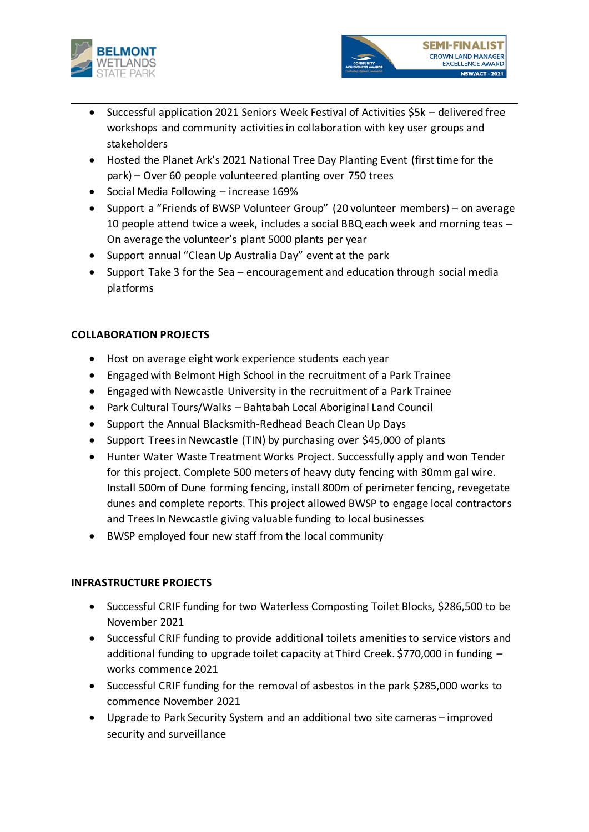



- Successful application 2021 Seniors Week Festival of Activities \$5k delivered free workshops and community activities in collaboration with key user groups and stakeholders
- Hosted the Planet Ark's 2021 National Tree Day Planting Event (first time for the park) – Over 60 people volunteered planting over 750 trees
- Social Media Following increase 169%
- Support a "Friends of BWSP Volunteer Group" (20 volunteer members) on average 10 people attend twice a week, includes a social BBQ each week and morning teas – On average the volunteer's plant 5000 plants per year
- Support annual "Clean Up Australia Day" event at the park
- Support Take 3 for the Sea encouragement and education through social media platforms

# **COLLABORATION PROJECTS**

- Host on average eight work experience students each year
- Engaged with Belmont High School in the recruitment of a Park Trainee
- Engaged with Newcastle University in the recruitment of a Park Trainee
- Park Cultural Tours/Walks Bahtabah Local Aboriginal Land Council
- Support the Annual Blacksmith-Redhead Beach Clean Up Days
- Support Trees in Newcastle (TIN) by purchasing over \$45,000 of plants
- Hunter Water Waste Treatment Works Project. Successfully apply and won Tender for this project. Complete 500 meters of heavy duty fencing with 30mm gal wire. Install 500m of Dune forming fencing, install 800m of perimeter fencing, revegetate dunes and complete reports. This project allowed BWSP to engage local contractors and Trees In Newcastle giving valuable funding to local businesses
- BWSP employed four new staff from the local community

# **INFRASTRUCTURE PROJECTS**

- Successful CRIF funding for two Waterless Composting Toilet Blocks, \$286,500 to be November 2021
- Successful CRIF funding to provide additional toilets amenities to service vistors and additional funding to upgrade toilet capacity at Third Creek. \$770,000 in funding – works commence 2021
- Successful CRIF funding for the removal of asbestos in the park \$285,000 works to commence November 2021
- Upgrade to Park Security System and an additional two site cameras improved security and surveillance